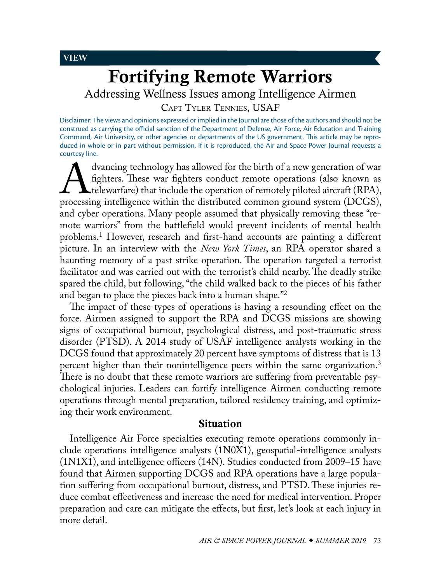<span id="page-0-0"></span>**VIEW**

# Fortifying Remote Warriors

Addressing Wellness Issues among Intelligence Airmen

Capt Tyler [Tennies,](#page-11-0) USAF

Disclaimer: The views and opinions expressed or implied in the Journal are those of the authors and should not be construed as carrying the official sanction of the Department of Defense, Air Force, Air Education and Training Command, Air University, or other agencies or departments of the US government. This article may be reproduced in whole or in part without permission. If it is reproduced, the Air and Space Power Journal requests a courtesy line.

dvancing technology has allowed for the birth of a new generation of war<br>fighters. These war fighters conduct remote operations (also known as<br>telewarfare) that include the operation of remotely piloted aircraft (RPA),<br>pro fighters. These war fighters conduct remote operations (also known as **L** telewarfare) that include the operation of remotely piloted aircraft (RPA), processing intelligence within the distributed common ground system (DCGS), and cyber operations. Many people assumed that physically removing these "remote warriors" from the battlefield would prevent incidents of mental health problems[.1](#page-10-0) However, research and first-hand accounts are painting a different picture. In an interview with the *New York Times*, an RPA operator shared a haunting memory of a past strike operation. The operation targeted a terrorist facilitator and was carried out with the terrorist's child nearby. The deadly strike spared the child, but following, "the child walked back to the pieces of his father and began to place the pieces back into a human shape."[2](#page-10-0)

The impact of these types of operations is having a resounding effect on the force. Airmen assigned to support the RPA and DCGS missions are showing signs of occupational burnout, psychological distress, and post-traumatic stress disorder (PTSD). A 2014 study of USAF intelligence analysts working in the DCGS found that approximately 20 percent have symptoms of distress that is 13 percent higher than their nonintelligence peers within the same organization.<sup>3</sup> There is no doubt that these remote warriors are suffering from preventable psychological injuries. Leaders can fortify intelligence Airmen conducting remote operations through mental preparation, tailored residency training, and optimizing their work environment.

## Situation

Intelligence Air Force specialties executing remote operations commonly include operations intelligence analysts (1N0X1), geospatial-intelligence analysts (1N1X1), and intelligence officers (14N). Studies conducted from 2009–15 have found that Airmen supporting DCGS and RPA operations have a large population suffering from occupational burnout, distress, and PTSD. These injuries reduce combat effectiveness and increase the need for medical intervention. Proper preparation and care can mitigate the effects, but first, let's look at each injury in more detail.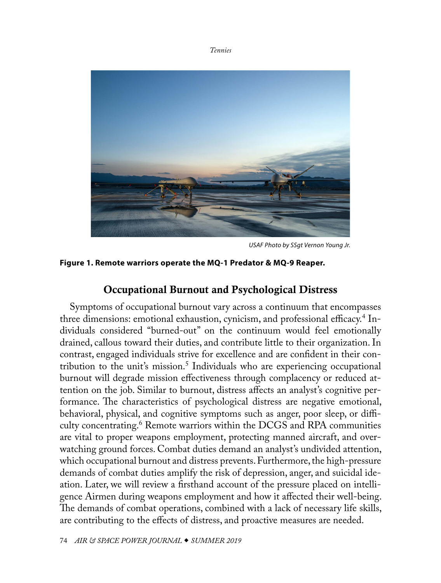<span id="page-1-0"></span>

*USAF Photo by SSgt Vernon Young Jr.*

## **Figure 1. Remote warriors operate the MQ-1 Predator & MQ-9 Reaper.**

## Occupational Burnout and Psychological Distress

Symptoms of occupational burnout vary across a continuum that encompasses three dimensions: emotional exhaustion, cynicism, and professional efficacy.<sup>[4](#page-10-0)</sup> Individuals considered "burned-out" on the continuum would feel emotionally drained, callous toward their duties, and contribute little to their organization. In contrast, engaged individuals strive for excellence and are confident in their contribution to the unit's mission.[5](#page-10-0) Individuals who are experiencing occupational burnout will degrade mission effectiveness through complacency or reduced attention on the job. Similar to burnout, distress affects an analyst's cognitive performance. The characteristics of psychological distress are negative emotional, behavioral, physical, and cognitive symptoms such as anger, poor sleep, or difficulty concentrating.[6](#page-10-0) Remote warriors within the DCGS and RPA communities are vital to proper weapons employment, protecting manned aircraft, and overwatching ground forces. Combat duties demand an analyst's undivided attention, which occupational burnout and distress prevents. Furthermore, the high-pressure demands of combat duties amplify the risk of depression, anger, and suicidal ideation. Later, we will review a firsthand account of the pressure placed on intelligence Airmen during weapons employment and how it affected their well-being. The demands of combat operations, combined with a lack of necessary life skills, are contributing to the effects of distress, and proactive measures are needed.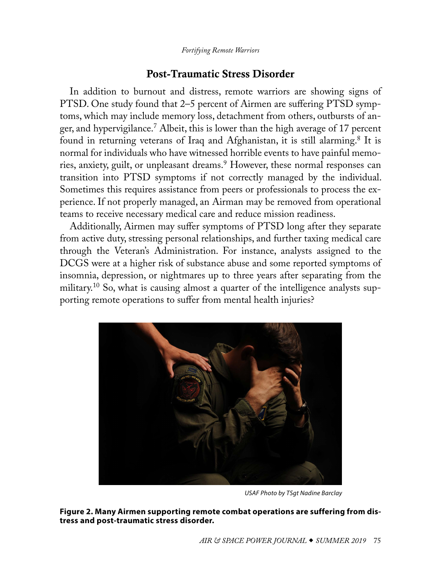*Fortifying Remote Warriors*

# Post-Traumatic Stress Disorder

<span id="page-2-0"></span>In addition to burnout and distress, remote warriors are showing signs of PTSD. One study found that 2–5 percent of Airmen are suffering PTSD symptoms, which may include memory loss, detachment from others, outbursts of anger, and hypervigilance.[7](#page-10-0) Albeit, this is lower than the high average of 17 percent found in returning veterans of Iraq and Afghanistan, it is still alarming.<sup>8</sup> It is normal for individuals who have witnessed horrible events to have painful memories, anxiety, guilt, or unpleasant dreams[.9](#page-10-0) However, these normal responses can transition into PTSD symptoms if not correctly managed by the individual. Sometimes this requires assistance from peers or professionals to process the experience. If not properly managed, an Airman may be removed from operational teams to receive necessary medical care and reduce mission readiness.

Additionally, Airmen may suffer symptoms of PTSD long after they separate from active duty, stressing personal relationships, and further taxing medical care through the Veteran's Administration. For instance, analysts assigned to the DCGS were at a higher risk of substance abuse and some reported symptoms of insomnia, depression, or nightmares up to three years after separating from the military.[10](#page-10-0) So, what is causing almost a quarter of the intelligence analysts supporting remote operations to suffer from mental health injuries?



*USAF Photo by TSgt Nadine Barclay*

**Figure 2. Many Airmen supporting remote combat operations are suffering from distress and post-traumatic stress disorder.**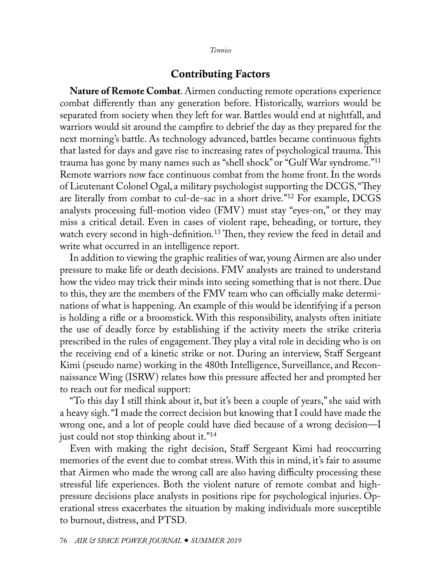## Contributing Factors

<span id="page-3-0"></span>**Nature of Remote Combat**. Airmen conducting remote operations experience combat differently than any generation before. Historically, warriors would be separated from society when they left for war. Battles would end at nightfall, and warriors would sit around the campfire to debrief the day as they prepared for the next morning's battle. As technology advanced, battles became continuous fights that lasted for days and gave rise to increasing rates of psychological trauma. This trauma has gone by many names such as "shell shock" or "Gulf War syndrome."[11](#page-10-0) Remote warriors now face continuous combat from the home front. In the words of Lieutenant Colonel Ogal, a military psychologist supporting the DCGS, "They are literally from combat to cul-de-sac in a short drive.["12](#page-10-0) For example, DCGS analysts processing full-motion video (FMV) must stay "eyes-on," or they may miss a critical detail. Even in cases of violent rape, beheading, or torture, they watch every second in high-definition.<sup>13</sup> Then, they review the feed in detail and write what occurred in an intelligence report.

In addition to viewing the graphic realities of war, young Airmen are also under pressure to make life or death decisions. FMV analysts are trained to understand how the video may trick their minds into seeing something that is not there. Due to this, they are the members of the FMV team who can officially make determinations of what is happening. An example of this would be identifying if a person is holding a rifle or a broomstick. With this responsibility, analysts often initiate the use of deadly force by establishing if the activity meets the strike criteria prescribed in the rules of engagement. They play a vital role in deciding who is on the receiving end of a kinetic strike or not. During an interview, Staff Sergeant Kimi (pseudo name) working in the 480th Intelligence, Surveillance, and Reconnaissance Wing (ISRW) relates how this pressure affected her and prompted her to reach out for medical support:

"To this day I still think about it, but it's been a couple of years," she said with a heavy sigh. "I made the correct decision but knowing that I could have made the wrong one, and a lot of people could have died because of a wrong decision—I just could not stop thinking about it."<sup>[14](#page-11-1)</sup>

Even with making the right decision, Staff Sergeant Kimi had reoccurring memories of the event due to combat stress. With this in mind, it's fair to assume that Airmen who made the wrong call are also having difficulty processing these stressful life experiences. Both the violent nature of remote combat and highpressure decisions place analysts in positions ripe for psychological injuries. Operational stress exacerbates the situation by making individuals more susceptible to burnout, distress, and PTSD.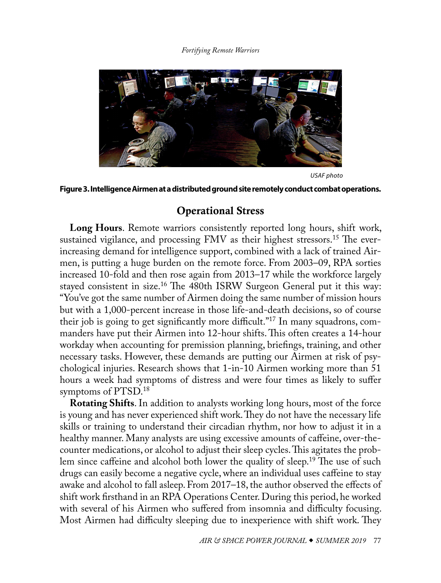## *Fortifying Remote Warriors*

<span id="page-4-0"></span>

*USAF photo*

## **Figure 3. Intelligence Airmen at a distributed ground site remotely conduct combat operations.**

# Operational Stress

**Long Hours**. Remote warriors consistently reported long hours, shift work, sustained vigilance, and processing FMV as their highest stressors.<sup>[15](#page-11-1)</sup> The everincreasing demand for intelligence support, combined with a lack of trained Airmen, is putting a huge burden on the remote force. From 2003–09, RPA sorties increased 10-fold and then rose again from 2013–17 while the workforce largely stayed consistent in size.[16](#page-11-1) The 480th ISRW Surgeon General put it this way: "You've got the same number of Airmen doing the same number of mission hours but with a 1,000-percent increase in those life-and-death decisions, so of course their job is going to get significantly more difficult."[17](#page-11-1) In many squadrons, commanders have put their Airmen into 12-hour shifts. This often creates a 14-hour workday when accounting for premission planning, briefings, training, and other necessary tasks. However, these demands are putting our Airmen at risk of psychological injuries. Research shows that 1-in-10 Airmen working more than 51 hours a week had symptoms of distress and were four times as likely to suffer symptoms of PTSD[.18](#page-11-1)

**Rotating Shifts**. In addition to analysts working long hours, most of the force is young and has never experienced shift work. They do not have the necessary life skills or training to understand their circadian rhythm, nor how to adjust it in a healthy manner. Many analysts are using excessive amounts of caffeine, over-thecounter medications, or alcohol to adjust their sleep cycles. This agitates the problem since caffeine and alcohol both lower the quality of sleep[.19](#page-11-1) The use of such drugs can easily become a negative cycle, where an individual uses caffeine to stay awake and alcohol to fall asleep. From 2017–18, the author observed the effects of shift work firsthand in an RPA Operations Center. During this period, he worked with several of his Airmen who suffered from insomnia and difficulty focusing. Most Airmen had difficulty sleeping due to inexperience with shift work. They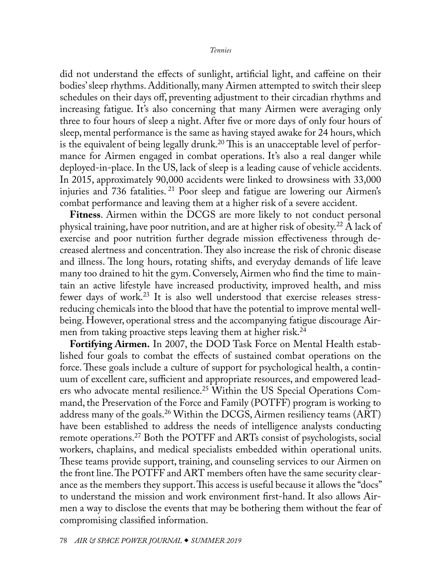<span id="page-5-0"></span>did not understand the effects of sunlight, artificial light, and caffeine on their bodies' sleep rhythms. Additionally, many Airmen attempted to switch their sleep schedules on their days off, preventing adjustment to their circadian rhythms and increasing fatigue. It's also concerning that many Airmen were averaging only three to four hours of sleep a night. After five or more days of only four hours of sleep, mental performance is the same as having stayed awake for 24 hours, which is the equivalent of being legally drunk.<sup>[20](#page-11-1)</sup> This is an unacceptable level of performance for Airmen engaged in combat operations. It's also a real danger while deployed-in-place. In the US, lack of sleep is a leading cause of vehicle accidents. In 2015, approximately 90,000 accidents were linked to drowsiness with 33,000 injuries and 736 fatalities. [21](#page-11-1) Poor sleep and fatigue are lowering our Airmen's combat performance and leaving them at a higher risk of a severe accident.

**Fitness**. Airmen within the DCGS are more likely to not conduct personal physical training, have poor nutrition, and are at higher risk of obesity.[22](#page-11-1) A lack of exercise and poor nutrition further degrade mission effectiveness through decreased alertness and concentration. They also increase the risk of chronic disease and illness. The long hours, rotating shifts, and everyday demands of life leave many too drained to hit the gym. Conversely, Airmen who find the time to maintain an active lifestyle have increased productivity, improved health, and miss fewer days of work.<sup>[23](#page-11-1)</sup> It is also well understood that exercise releases stressreducing chemicals into the blood that have the potential to improve mental wellbeing. However, operational stress and the accompanying fatigue discourage Airmen from taking proactive steps leaving them at higher risk.<sup>24</sup>

**Fortifying Airmen.** In 2007, the DOD Task Force on Mental Health established four goals to combat the effects of sustained combat operations on the force. These goals include a culture of support for psychological health, a continuum of excellent care, sufficient and appropriate resources, and empowered lead-ers who advocate mental resilience.<sup>[25](#page-11-1)</sup> Within the US Special Operations Command, the Preservation of the Force and Family (POTFF) program is working to address many of the goals.<sup>26</sup> Within the DCGS, Airmen resiliency teams (ART) have been established to address the needs of intelligence analysts conducting remote operations.<sup>27</sup> Both the POTFF and ARTs consist of psychologists, social workers, chaplains, and medical specialists embedded within operational units. These teams provide support, training, and counseling services to our Airmen on the front line. The POTFF and ART members often have the same security clearance as the members they support. This access is useful because it allows the "docs" to understand the mission and work environment first-hand. It also allows Airmen a way to disclose the events that may be bothering them without the fear of compromising classified information.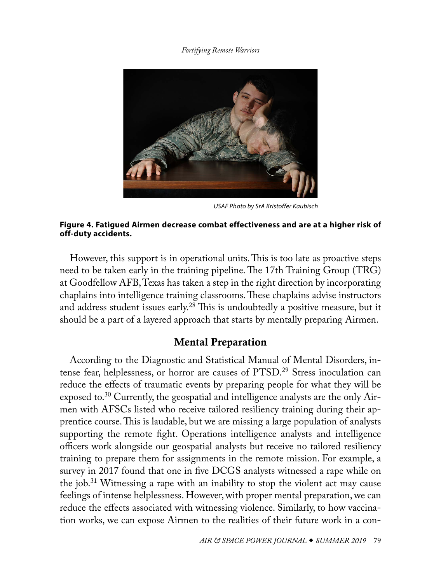*Fortifying Remote Warriors*

<span id="page-6-0"></span>

*USAF Photo by SrA Kristoffer Kaubisch*

## **Figure 4. Fatigued Airmen decrease combat effectiveness and are at a higher risk of off-duty accidents.**

However, this support is in operational units. This is too late as proactive steps need to be taken early in the training pipeline. The 17th Training Group (TRG) at Goodfellow AFB, Texas has taken a step in the right direction by incorporating chaplains into intelligence training classrooms. These chaplains advise instructors and address student issues early.<sup>28</sup> This is undoubtedly a positive measure, but it should be a part of a layered approach that starts by mentally preparing Airmen.

# Mental Preparation

According to the Diagnostic and Statistical Manual of Mental Disorders, intense fear, helplessness, or horror are causes of PTSD.[29](#page-11-1) Stress inoculation can reduce the effects of traumatic events by preparing people for what they will be exposed to.[30](#page-11-1) Currently, the geospatial and intelligence analysts are the only Airmen with AFSCs listed who receive tailored resiliency training during their apprentice course. This is laudable, but we are missing a large population of analysts supporting the remote fight. Operations intelligence analysts and intelligence officers work alongside our geospatial analysts but receive no tailored resiliency training to prepare them for assignments in the remote mission. For example, a survey in 2017 found that one in five DCGS analysts witnessed a rape while on the job.[31](#page-11-1) Witnessing a rape with an inability to stop the violent act may cause feelings of intense helplessness. However, with proper mental preparation, we can reduce the effects associated with witnessing violence. Similarly, to how vaccination works, we can expose Airmen to the realities of their future work in a con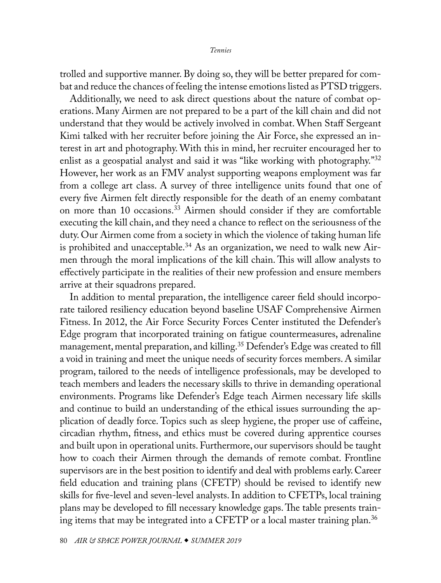<span id="page-7-0"></span>trolled and supportive manner. By doing so, they will be better prepared for combat and reduce the chances of feeling the intense emotions listed as PTSD triggers.

Additionally, we need to ask direct questions about the nature of combat operations. Many Airmen are not prepared to be a part of the kill chain and did not understand that they would be actively involved in combat. When Staff Sergeant Kimi talked with her recruiter before joining the Air Force, she expressed an interest in art and photography. With this in mind, her recruiter encouraged her to enlist as a geospatial analyst and said it was "like working with photography."<sup>32</sup> However, her work as an FMV analyst supporting weapons employment was far from a college art class. A survey of three intelligence units found that one of every five Airmen felt directly responsible for the death of an enemy combatant on more than 10 occasions[.33](#page-11-1) Airmen should consider if they are comfortable executing the kill chain, and they need a chance to reflect on the seriousness of the duty. Our Airmen come from a society in which the violence of taking human life is prohibited and unacceptable.<sup>34</sup> As an organization, we need to walk new Airmen through the moral implications of the kill chain. This will allow analysts to effectively participate in the realities of their new profession and ensure members arrive at their squadrons prepared.

In addition to mental preparation, the intelligence career field should incorporate tailored resiliency education beyond baseline USAF Comprehensive Airmen Fitness. In 2012, the Air Force Security Forces Center instituted the Defender's Edge program that incorporated training on fatigue countermeasures, adrenaline management, mental preparation, and killing.<sup>35</sup> Defender's Edge was created to fill a void in training and meet the unique needs of security forces members. A similar program, tailored to the needs of intelligence professionals, may be developed to teach members and leaders the necessary skills to thrive in demanding operational environments. Programs like Defender's Edge teach Airmen necessary life skills and continue to build an understanding of the ethical issues surrounding the application of deadly force. Topics such as sleep hygiene, the proper use of caffeine, circadian rhythm, fitness, and ethics must be covered during apprentice courses and built upon in operational units. Furthermore, our supervisors should be taught how to coach their Airmen through the demands of remote combat. Frontline supervisors are in the best position to identify and deal with problems early. Career field education and training plans (CFETP) should be revised to identify new skills for five-level and seven-level analysts. In addition to CFETPs, local training plans may be developed to fill necessary knowledge gaps. The table presents train-ing items that may be integrated into a CFETP or a local master training plan.<sup>[36](#page-11-1)</sup>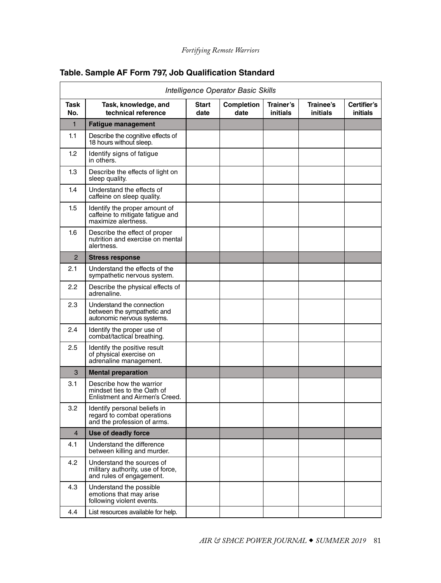| Intelligence Operator Basic Skills |                                                                                            |                      |                    |                       |                       |                                |
|------------------------------------|--------------------------------------------------------------------------------------------|----------------------|--------------------|-----------------------|-----------------------|--------------------------------|
| Task<br>No.                        | Task, knowledge, and<br>technical reference                                                | <b>Start</b><br>date | Completion<br>date | Trainer's<br>initials | Trainee's<br>initials | Certifier's<br><i>initials</i> |
| $\mathbf{1}$                       | <b>Fatigue management</b>                                                                  |                      |                    |                       |                       |                                |
| 1.1                                | Describe the cognitive effects of<br>18 hours without sleep.                               |                      |                    |                       |                       |                                |
| 1.2                                | Identify signs of fatigue<br>in others.                                                    |                      |                    |                       |                       |                                |
| 1.3                                | Describe the effects of light on<br>sleep quality.                                         |                      |                    |                       |                       |                                |
| 1.4                                | Understand the effects of<br>caffeine on sleep quality.                                    |                      |                    |                       |                       |                                |
| 1.5                                | Identify the proper amount of<br>caffeine to mitigate fatigue and<br>maximize alertness.   |                      |                    |                       |                       |                                |
| 1.6                                | Describe the effect of proper<br>nutrition and exercise on mental<br>alertness.            |                      |                    |                       |                       |                                |
| $\overline{2}$                     | <b>Stress response</b>                                                                     |                      |                    |                       |                       |                                |
| 2.1                                | Understand the effects of the<br>sympathetic nervous system.                               |                      |                    |                       |                       |                                |
| 2.2                                | Describe the physical effects of<br>adrenaline.                                            |                      |                    |                       |                       |                                |
| 2.3                                | Understand the connection<br>between the sympathetic and<br>autonomic nervous systems.     |                      |                    |                       |                       |                                |
| 2.4                                | Identify the proper use of<br>combat/tactical breathing.                                   |                      |                    |                       |                       |                                |
| 2.5                                | Identify the positive result<br>of physical exercise on<br>adrenaline management.          |                      |                    |                       |                       |                                |
| 3                                  | <b>Mental preparation</b>                                                                  |                      |                    |                       |                       |                                |
| 3.1                                | Describe how the warrior<br>mindset ties to the Oath of<br>Enlistment and Airmen's Creed.  |                      |                    |                       |                       |                                |
| 3.2                                | Identify personal beliefs in<br>regard to combat operations<br>and the profession of arms. |                      |                    |                       |                       |                                |
| $\overline{4}$                     | Use of deadly force                                                                        |                      |                    |                       |                       |                                |
| 4.1                                | Understand the difference<br>between killing and murder.                                   |                      |                    |                       |                       |                                |
| 4.2                                | Understand the sources of<br>military authority, use of force,<br>and rules of engagement. |                      |                    |                       |                       |                                |
| 4.3                                | Understand the possible<br>emotions that may arise<br>following violent events.            |                      |                    |                       |                       |                                |
| 4.4                                | List resources available for help.                                                         |                      |                    |                       |                       |                                |

## **Table. Sample AF Form 797, Job Qualification Standard**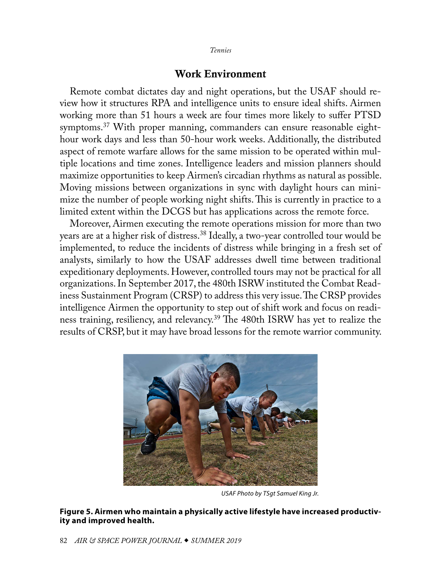## Work Environment

<span id="page-9-0"></span>Remote combat dictates day and night operations, but the USAF should review how it structures RPA and intelligence units to ensure ideal shifts. Airmen working more than 51 hours a week are four times more likely to suffer PTSD symptoms.[37](#page-11-1) With proper manning, commanders can ensure reasonable eighthour work days and less than 50-hour work weeks. Additionally, the distributed aspect of remote warfare allows for the same mission to be operated within multiple locations and time zones. Intelligence leaders and mission planners should maximize opportunities to keep Airmen's circadian rhythms as natural as possible. Moving missions between organizations in sync with daylight hours can minimize the number of people working night shifts. This is currently in practice to a limited extent within the DCGS but has applications across the remote force.

Moreover, Airmen executing the remote operations mission for more than two years are at a higher risk of distress.[38](#page-11-1) Ideally, a two-year controlled tour would be implemented, to reduce the incidents of distress while bringing in a fresh set of analysts, similarly to how the USAF addresses dwell time between traditional expeditionary deployments. However, controlled tours may not be practical for all organizations. In September 2017, the 480th ISRW instituted the Combat Readiness Sustainment Program (CRSP) to address this very issue. The CRSP provides intelligence Airmen the opportunity to step out of shift work and focus on readiness training, resiliency, and relevancy.[39](#page-11-1) The 480th ISRW has yet to realize the results of CRSP, but it may have broad lessons for the remote warrior community.



*USAF Photo by TSgt Samuel King Jr.*

**Figure 5. Airmen who maintain a physically active lifestyle have increased productivity and improved health.**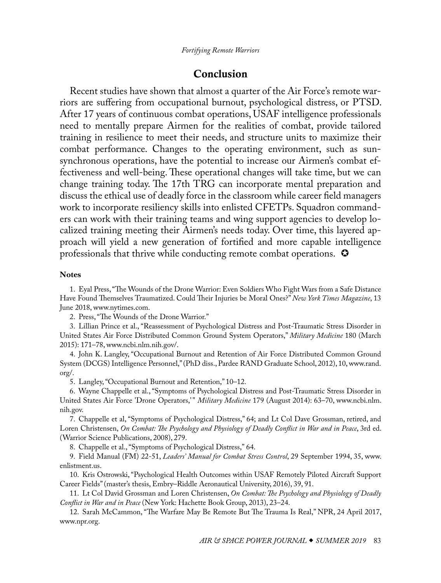## Conclusion

<span id="page-10-0"></span>Recent studies have shown that almost a quarter of the Air Force's remote warriors are suffering from occupational burnout, psychological distress, or PTSD. After 17 years of continuous combat operations, USAF intelligence professionals need to mentally prepare Airmen for the realities of combat, provide tailored training in resilience to meet their needs, and structure units to maximize their combat performance. Changes to the operating environment, such as sunsynchronous operations, have the potential to increase our Airmen's combat effectiveness and well-being. These operational changes will take time, but we can change training today. The 17th TRG can incorporate mental preparation and discuss the ethical use of deadly force in the classroom while career field managers work to incorporate resiliency skills into enlisted CFETPs. Squadron commanders can work with their training teams and wing support agencies to develop localized training meeting their Airmen's needs today. Over time, this layered approach will yield a new generation of fortified and more capable intelligence professionals that thrive while conducting remote combat operations.

#### **Notes**

[1](#page-0-0). Eyal Press, "The Wounds of the Drone Warrior: Even Soldiers Who Fight Wars from a Safe Distance Have Found Themselves Traumatized. Could Their Injuries be Moral Ones?" *New York Times Magazine*, 13 June 2018, [www.nytimes.com.](www.nytimes.com)

[2](#page-0-0). Press, "The Wounds of the Drone Warrior."

[3](#page-0-0). Lillian Prince et al., "Reassessment of Psychological Distress and Post-Traumatic Stress Disorder in United States Air Force Distributed Common Ground System Operators," *Military Medicine* 180 (March 2015): 171–78, [www.ncbi.nlm.nih.gov/](www.ncbi.nlm.nih.gov).

[4](#page-1-0). John K. Langley, "Occupational Burnout and Retention of Air Force Distributed Common Ground System (DCGS) Intelligence Personnel," (PhD diss., Pardee RAND Graduate School, 2012), 10, [www.rand.](www.rand.org/) [org/](www.rand.org/).

[5](#page-1-0). Langley, "Occupational Burnout and Retention," 10–12.

[6](#page-1-0). Wayne Chappelle et al., "Symptoms of Psychological Distress and Post-Traumatic Stress Disorder in United States Air Force 'Drone Operators,'" *Military Medicine* 179 (August 2014): 63–70, [www.ncbi.nlm.](www.ncbi.nlm.nih.gov) [nih.gov](www.ncbi.nlm.nih.gov).

[7](#page-2-0). Chappelle et al, "Symptoms of Psychological Distress," 64; and Lt Col Dave Grossman, retired, and Loren Christensen, *On Combat: The Psychology and Physiology of Deadly Conflict in War and in Peace*, 3rd ed. (Warrior Science Publications, 2008), 279.

[8](#page-2-0). Chappelle et al., "Symptoms of Psychological Distress," 64.

[9](#page-2-0). Field Manual (FM) 22-51, *Leaders' Manual for Combat Stress Control*, 29 September 1994, 35, [www.](www.enlistment.us) [enlistment.us](www.enlistment.us).

[10](#page-2-0). Kris Ostrowski, "Psychological Health Outcomes within USAF Remotely Piloted Aircraft Support Career Fields" (master's thesis, Embry–Riddle Aeronautical University, 2016), 39, 91.

[11](#page-3-0). Lt Col David Grossman and Loren Christensen, *On Combat: The Psychology and Physiology of Deadly Conflict in War and in Peace* (New York: Hachette Book Group, 2013), 23–24.

[12](#page-3-0). Sarah McCammon, "The Warfare May Be Remote But The Trauma Is Real," NPR, 24 April 2017, <www.npr.org>.